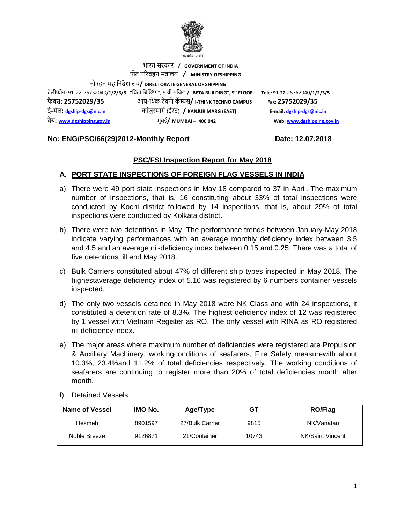

### भारत सरकार **/ GOVERNMENT OF INDIA** पोत पररवहन मंत्रालय **/ MINISTRY OFSHIPPING**

नौवहन महाननदेशालय**/ DIRECTORATE GENERAL OF SHIPPING**

टेलीफोन**:** 91-22-25752040**/1/2/3/5 "**निटा निल्डंग**"**, 9 वी मंनिल **/ "BETA BUILDING", 9 th FLOOR Tele: 91-22-**25752040**/1/2/3/5**  फै क् स**: 25752029/35** आय-न ंक टेक् नो कॅ म् पस**/ I-THINK TECHNO CAMPUS Fax: 25752029/35** ई-मेल**: [dgship-dgs@nic.in](mailto:dgship-dgs@nic.in)** कांिुरमागग (ईस् ट) **/ KANJUR MARG (EAST) E-mail[: dgship-dgs@nic.in](mailto:dgship-dgs@nic.in)**

वेि**: [www.dgshipping.gov.in](http://www.dgshipping.gov.in/)** मुंिई**/ MUMBAI – 400 042 Web[: www.dgshipping.gov.in](http://www.dgshipping.gov.in/)**

#### **No: ENG/PSC/66(29)2012-Monthly Report Date: 12.07.2018**

# **PSC/FSI Inspection Report for May 2018**

# **A. PORT STATE INSPECTIONS OF FOREIGN FLAG VESSELS IN INDIA**

- a) There were 49 port state inspections in May 18 compared to 37 in April. The maximum number of inspections, that is, 16 constituting about 33% of total inspections were conducted by Kochi district followed by 14 inspections, that is, about 29% of total inspections were conducted by Kolkata district.
- b) There were two detentions in May. The performance trends between January-May 2018 indicate varying performances with an average monthly deficiency index between 3.5 and 4.5 and an average nil-deficiency index between 0.15 and 0.25. There was a total of five detentions till end May 2018.
- c) Bulk Carriers constituted about 47% of different ship types inspected in May 2018. The highestaverage deficiency index of 5.16 was registered by 6 numbers container vessels inspected.
- d) The only two vessels detained in May 2018 were NK Class and with 24 inspections, it constituted a detention rate of 8.3%. The highest deficiency index of 12 was registered by 1 vessel with Vietnam Register as RO. The only vessel with RINA as RO registered nil deficiency index.
- e) The major areas where maximum number of deficiencies were registered are Propulsion & Auxiliary Machinery, workingconditions of seafarers, Fire Safety measurewith about 10.3%, 23.4%and 11.2% of total deficiencies respectively. The working conditions of seafarers are continuing to register more than 20% of total deficiencies month after month.
- f) Detained Vessels

| Name of Vessel | IMO No. | Age/Type        | GТ    | <b>RO/Flag</b>   |
|----------------|---------|-----------------|-------|------------------|
| Hekmeh         | 8901597 | 27/Bulk Carrier | 9815  | NK/Vanatau       |
| Noble Breeze   | 9126871 | 21/Container    | 10743 | NK/Saint Vincent |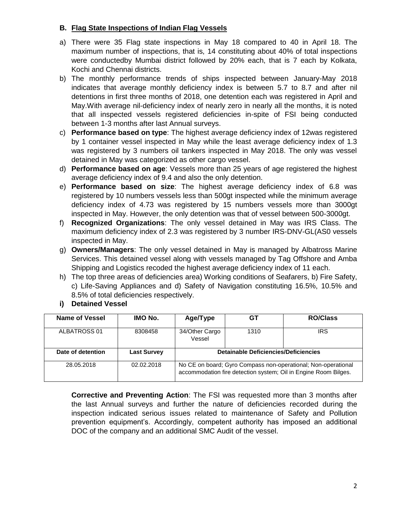#### **B. Flag State Inspections of Indian Flag Vessels**

- a) There were 35 Flag state inspections in May 18 compared to 40 in April 18. The maximum number of inspections, that is, 14 constituting about 40% of total inspections were conductedby Mumbai district followed by 20% each, that is 7 each by Kolkata, Kochi and Chennai districts.
- b) The monthly performance trends of ships inspected between January-May 2018 indicates that average monthly deficiency index is between 5.7 to 8.7 and after nil detentions in first three months of 2018, one detention each was registered in April and May.With average nil-deficiency index of nearly zero in nearly all the months, it is noted that all inspected vessels registered deficiencies in-spite of FSI being conducted between 1-3 months after last Annual surveys.
- c) **Performance based on type**: The highest average deficiency index of 12was registered by 1 container vessel inspected in May while the least average deficiency index of 1.3 was registered by 3 numbers oil tankers inspected in May 2018. The only was vessel detained in May was categorized as other cargo vessel.
- d) **Performance based on age**: Vessels more than 25 years of age registered the highest average deficiency index of 9.4 and also the only detention.
- e) **Performance based on size**: The highest average deficiency index of 6.8 was registered by 10 numbers vessels less than 500gt inspected while the minimum average deficiency index of 4.73 was registered by 15 numbers vessels more than 3000gt inspected in May. However, the only detention was that of vessel between 500-3000gt.
- f) **Recognized Organizations**: The only vessel detained in May was IRS Class. The maximum deficiency index of 2.3 was registered by 3 number IRS-DNV-GL(AS0 vessels inspected in May.
- g) **Owners/Managers**: The only vessel detained in May is managed by Albatross Marine Services. This detained vessel along with vessels managed by Tag Offshore and Amba Shipping and Logistics recoded the highest average deficiency index of 11 each.
- h) The top three areas of deficiencies area) Working conditions of Seafarers, b) Fire Safety, c) Life-Saving Appliances and d) Safety of Navigation constituting 16.5%, 10.5% and 8.5% of total deficiencies respectively.
- **i) Detained Vessel**

| Name of Vessel    | IMO No.            | Age/Type                                                                                                                         | GT   | <b>RO/Class</b> |  |  |  |
|-------------------|--------------------|----------------------------------------------------------------------------------------------------------------------------------|------|-----------------|--|--|--|
| ALBATROSS 01      | 8308458            | 34/Other Cargo<br>Vessel                                                                                                         | 1310 | IRS             |  |  |  |
| Date of detention | <b>Last Survey</b> | <b>Detainable Deficiencies/Deficiencies</b>                                                                                      |      |                 |  |  |  |
| 28.05.2018        | 02.02.2018         | No CE on board; Gyro Compass non-operational; Non-operational<br>accommodation fire detection system; Oil in Engine Room Bilges. |      |                 |  |  |  |

**Corrective and Preventing Action**: The FSI was requested more than 3 months after the last Annual surveys and further the nature of deficiencies recorded during the inspection indicated serious issues related to maintenance of Safety and Pollution prevention equipment's. Accordingly, competent authority has imposed an additional DOC of the company and an additional SMC Audit of the vessel.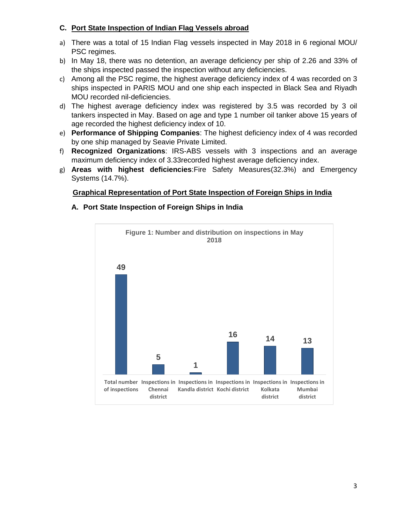#### **C. Port State Inspection of Indian Flag Vessels abroad**

- a) There was a total of 15 Indian Flag vessels inspected in May 2018 in 6 regional MOU/ PSC regimes.
- b) In May 18, there was no detention, an average deficiency per ship of 2.26 and 33% of the ships inspected passed the inspection without any deficiencies.
- c) Among all the PSC regime, the highest average deficiency index of 4 was recorded on 3 ships inspected in PARIS MOU and one ship each inspected in Black Sea and Riyadh MOU recorded nil-deficiencies.
- d) The highest average deficiency index was registered by 3.5 was recorded by 3 oil tankers inspected in May. Based on age and type 1 number oil tanker above 15 years of age recorded the highest deficiency index of 10.
- e) **Performance of Shipping Companies**: The highest deficiency index of 4 was recorded by one ship managed by Seavie Private Limited.
- f) **Recognized Organizations**: IRS-ABS vessels with 3 inspections and an average maximum deficiency index of 3.33recorded highest average deficiency index.
- g) **Areas with highest deficiencies**:Fire Safety Measures(32.3%) and Emergency Systems (14.7%).

### **Graphical Representation of Port State Inspection of Foreign Ships in India**

#### **A. Port State Inspection of Foreign Ships in India**

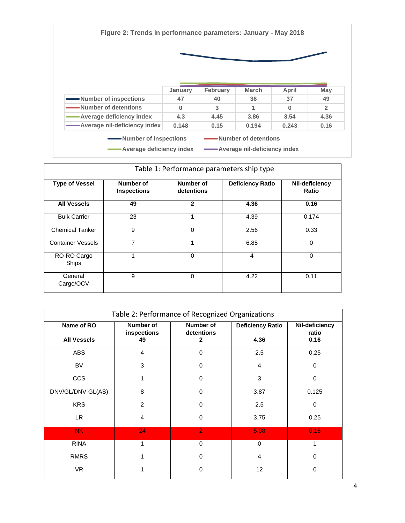**Figure 2: Trends in performance parameters: January - May 2018**



|                               | January | <b>February</b> | <b>March</b> | April | May            |
|-------------------------------|---------|-----------------|--------------|-------|----------------|
| Number of inspections         | 47      | 40              | 36           | 37    | 49             |
| -Number of detentions         | 0       | 3               |              | 0     | $\overline{2}$ |
| Average deficiency index      | 4.3     | 4.45            | 3.86         | 3.54  | 4.36           |
| -Average nil-deficiency index | 0.148   | 0.15            | 0.194        | 0.243 | 0.16           |

| Table 1: Performance parameters ship type |                                 |                                |                         |                         |  |  |  |  |
|-------------------------------------------|---------------------------------|--------------------------------|-------------------------|-------------------------|--|--|--|--|
| <b>Type of Vessel</b>                     | Number of<br><b>Inspections</b> | <b>Number of</b><br>detentions | <b>Deficiency Ratio</b> | Nil-deficiency<br>Ratio |  |  |  |  |
| <b>All Vessels</b>                        | 49                              | $\mathbf{2}$                   | 4.36                    | 0.16                    |  |  |  |  |
| <b>Bulk Carrier</b>                       | 23                              | 1                              | 4.39                    | 0.174                   |  |  |  |  |
| <b>Chemical Tanker</b>                    | 9                               | $\Omega$                       | 2.56                    | 0.33                    |  |  |  |  |
| <b>Container Vessels</b>                  | 7                               |                                | 6.85                    | 0                       |  |  |  |  |
| RO-RO Cargo<br>Ships                      | 1                               | $\Omega$                       | 4                       | 0                       |  |  |  |  |
| General<br>Cargo/OCV                      | 9                               | $\Omega$                       | 4.22                    | 0.11                    |  |  |  |  |

| Table 2: Performance of Recognized Organizations |                                 |                                |                         |                         |  |  |  |
|--------------------------------------------------|---------------------------------|--------------------------------|-------------------------|-------------------------|--|--|--|
| Name of RO                                       | <b>Number of</b><br>inspections | <b>Number of</b><br>detentions | <b>Deficiency Ratio</b> | Nil-deficiency<br>ratio |  |  |  |
| <b>All Vessels</b>                               | 49                              | 2                              | 4.36                    | 0.16                    |  |  |  |
| <b>ABS</b>                                       | 4                               | $\Omega$                       | 2.5                     | 0.25                    |  |  |  |
| BV                                               | 3                               | $\Omega$                       | 4                       | $\Omega$                |  |  |  |
| <b>CCS</b>                                       | 1                               | $\Omega$                       | 3                       | $\Omega$                |  |  |  |
| DNV/GL/DNV-GL(AS)                                | 8                               | $\Omega$                       | 3.87                    | 0.125                   |  |  |  |
| <b>KRS</b>                                       | 2                               | $\Omega$                       | 2.5                     | $\Omega$                |  |  |  |
| LR.                                              | 4                               | $\Omega$                       | 3.75                    | 0.25                    |  |  |  |
| NK.                                              | 24                              | $\overline{2}$                 | 5.08                    | 0.16                    |  |  |  |
| <b>RINA</b>                                      | 1                               | $\Omega$                       | $\mathbf 0$             | 1                       |  |  |  |
| <b>RMRS</b>                                      | 1                               | $\Omega$                       | 4                       | 0                       |  |  |  |
| <b>VR</b>                                        | 1                               | $\Omega$                       | 12                      | $\mathbf 0$             |  |  |  |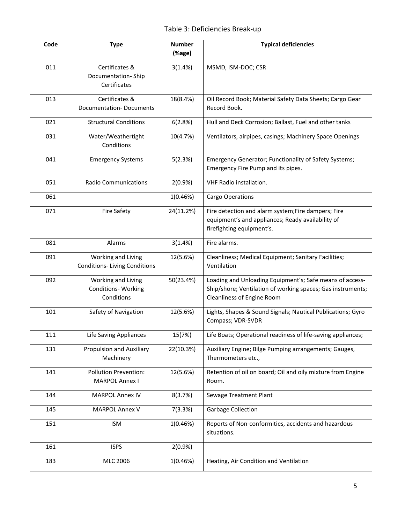|      | Table 3: Deficiencies Break-up                                 |                         |                                                                                                                                                       |  |  |
|------|----------------------------------------------------------------|-------------------------|-------------------------------------------------------------------------------------------------------------------------------------------------------|--|--|
| Code | <b>Type</b>                                                    | <b>Number</b><br>(%age) | <b>Typical deficiencies</b>                                                                                                                           |  |  |
| 011  | Certificates &<br>Documentation-Ship<br>Certificates           | 3(1.4%)                 | MSMD, ISM-DOC; CSR                                                                                                                                    |  |  |
| 013  | Certificates &<br><b>Documentation-Documents</b>               | 18(8.4%)                | Oil Record Book; Material Safety Data Sheets; Cargo Gear<br>Record Book.                                                                              |  |  |
| 021  | <b>Structural Conditions</b>                                   | 6(2.8%)                 | Hull and Deck Corrosion; Ballast, Fuel and other tanks                                                                                                |  |  |
| 031  | Water/Weathertight<br>Conditions                               | 10(4.7%)                | Ventilators, airpipes, casings; Machinery Space Openings                                                                                              |  |  |
| 041  | <b>Emergency Systems</b>                                       | 5(2.3%)                 | Emergency Generator; Functionality of Safety Systems;<br>Emergency Fire Pump and its pipes.                                                           |  |  |
| 051  | <b>Radio Communications</b>                                    | 2(0.9%                  | VHF Radio installation.                                                                                                                               |  |  |
| 061  |                                                                | 1(0.46%)                | Cargo Operations                                                                                                                                      |  |  |
| 071  | <b>Fire Safety</b>                                             | 24(11.2%)               | Fire detection and alarm system; Fire dampers; Fire<br>equipment's and appliances; Ready availability of<br>firefighting equipment's.                 |  |  |
| 081  | Alarms                                                         | 3(1.4%)                 | Fire alarms.                                                                                                                                          |  |  |
| 091  | Working and Living<br><b>Conditions-Living Conditions</b>      | 12(5.6%)                | Cleanliness; Medical Equipment; Sanitary Facilities;<br>Ventilation                                                                                   |  |  |
| 092  | Working and Living<br><b>Conditions- Working</b><br>Conditions | 50(23.4%)               | Loading and Unloading Equipment's; Safe means of access-<br>Ship/shore; Ventilation of working spaces; Gas instruments;<br>Cleanliness of Engine Room |  |  |
| 101  | Safety of Navigation                                           | 12(5.6%)                | Lights, Shapes & Sound Signals; Nautical Publications; Gyro<br>Compass; VDR-SVDR                                                                      |  |  |
| 111  | <b>Life Saving Appliances</b>                                  | 15(7%)                  | Life Boats; Operational readiness of life-saving appliances;                                                                                          |  |  |
| 131  | Propulsion and Auxiliary<br>Machinery                          | 22(10.3%)               | Auxiliary Engine; Bilge Pumping arrangements; Gauges,<br>Thermometers etc.,                                                                           |  |  |
| 141  | <b>Pollution Prevention:</b><br><b>MARPOL Annex I</b>          | 12(5.6%)                | Retention of oil on board; Oil and oily mixture from Engine<br>Room.                                                                                  |  |  |
| 144  | <b>MARPOL Annex IV</b>                                         | 8(3.7%)                 | Sewage Treatment Plant                                                                                                                                |  |  |
| 145  | <b>MARPOL Annex V</b>                                          | 7(3.3%)                 | <b>Garbage Collection</b>                                                                                                                             |  |  |
| 151  | <b>ISM</b>                                                     | 1(0.46%)                | Reports of Non-conformities, accidents and hazardous<br>situations.                                                                                   |  |  |
| 161  | <b>ISPS</b>                                                    | 2(0.9%                  |                                                                                                                                                       |  |  |
| 183  | MLC 2006                                                       | 1(0.46%)                | Heating, Air Condition and Ventilation                                                                                                                |  |  |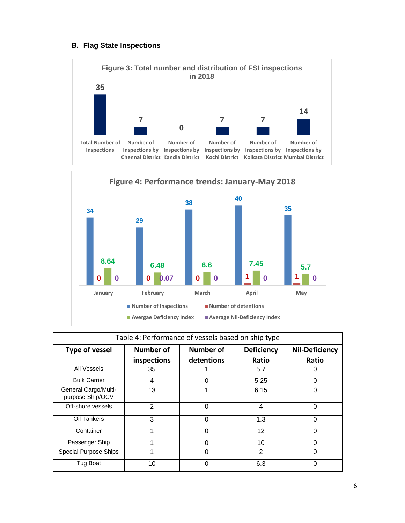#### **B. Flag State Inspections**



| Table 4: Performance of vessels based on ship type |             |            |                   |                       |  |  |  |  |
|----------------------------------------------------|-------------|------------|-------------------|-----------------------|--|--|--|--|
| <b>Type of vessel</b>                              | Number of   | Number of  | <b>Deficiency</b> | <b>Nil-Deficiency</b> |  |  |  |  |
|                                                    | inspections | detentions | Ratio             | Ratio                 |  |  |  |  |
| All Vessels                                        | 35          |            | 5.7               | 0                     |  |  |  |  |
| <b>Bulk Carrier</b>                                | 4           | $\Omega$   | 5.25              | $\Omega$              |  |  |  |  |
| General Cargo/Multi-<br>purpose Ship/OCV           | 13          |            | 6.15              | O                     |  |  |  |  |
| Off-shore vessels                                  | 2           | $\Omega$   | 4                 | $\Omega$              |  |  |  |  |
| Oil Tankers                                        | 3           | $\Omega$   | 1.3               | $\Omega$              |  |  |  |  |
| Container                                          |             | $\Omega$   | 12                | 0                     |  |  |  |  |
| Passenger Ship                                     |             | ი          | 10                | 0                     |  |  |  |  |
| Special Purpose Ships                              |             | 0          | $\overline{2}$    | 0                     |  |  |  |  |
| Tug Boat                                           | 10          | $\Omega$   | 6.3               | $\Omega$              |  |  |  |  |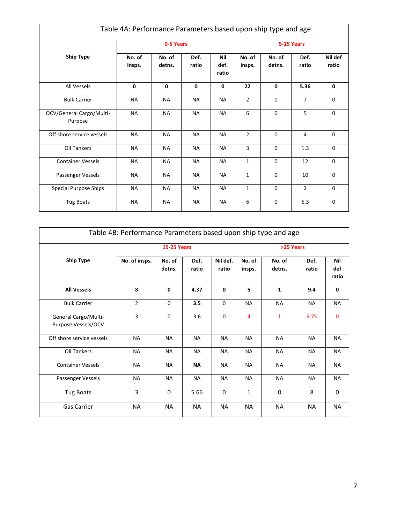| Table 4A: Performance Parameters based upon ship type and age |                  |                  |               |                      |                  |                  |                |                  |
|---------------------------------------------------------------|------------------|------------------|---------------|----------------------|------------------|------------------|----------------|------------------|
|                                                               |                  | 0-5 Years        |               |                      |                  | 5-15 Years       |                |                  |
| <b>Ship Type</b>                                              | No. of<br>insps. | No. of<br>detns. | Def.<br>ratio | Nil<br>def.<br>ratio | No. of<br>insps. | No. of<br>detns. | Def.<br>ratio  | Nil def<br>ratio |
| All Vessels                                                   | $\mathbf{0}$     | $\mathbf{0}$     | 0             | 0                    | 22               | $\mathbf{0}$     | 5.36           | 0                |
| <b>Bulk Carrier</b>                                           | <b>NA</b>        | <b>NA</b>        | <b>NA</b>     | <b>NA</b>            | $\overline{2}$   | $\Omega$         | $\overline{7}$ | 0                |
| OCV/General Cargo/Multi-<br>Purpose                           | <b>NA</b>        | <b>NA</b>        | <b>NA</b>     | <b>NA</b>            | 6                | $\Omega$         | 5              | 0                |
| Off shore service vessels                                     | <b>NA</b>        | <b>NA</b>        | <b>NA</b>     | <b>NA</b>            | $\overline{2}$   | $\Omega$         | 4              | 0                |
| Oil Tankers                                                   | <b>NA</b>        | <b>NA</b>        | <b>NA</b>     | <b>NA</b>            | 3                | $\mathbf 0$      | 1.3            | 0                |
| <b>Container Vessels</b>                                      | <b>NA</b>        | <b>NA</b>        | <b>NA</b>     | <b>NA</b>            | $\mathbf{1}$     | $\Omega$         | 12             | 0                |
| Passenger Vessels                                             | <b>NA</b>        | <b>NA</b>        | <b>NA</b>     | <b>NA</b>            | $\mathbf{1}$     | $\Omega$         | 10             | 0                |
| <b>Special Purpose Ships</b>                                  | <b>NA</b>        | <b>NA</b>        | <b>NA</b>     | <b>NA</b>            | $\mathbf{1}$     | $\mathbf 0$      | $\overline{2}$ | 0                |
| <b>Tug Boats</b>                                              | <b>NA</b>        | <b>NA</b>        | <b>NA</b>     | <b>NA</b>            | 6                | $\mathbf 0$      | 6.3            | 0                |

|                                             | Table 4B: Performance Parameters based upon ship type and age |                    |               |                   |                  |                  |               |                     |
|---------------------------------------------|---------------------------------------------------------------|--------------------|---------------|-------------------|------------------|------------------|---------------|---------------------|
|                                             |                                                               | <b>15-25 Years</b> |               |                   | >25 Years        |                  |               |                     |
| <b>Ship Type</b>                            | No. of insps.                                                 | No. of<br>detns.   | Def.<br>ratio | Nil def.<br>ratio | No. of<br>insps. | No. of<br>detns. | Def.<br>ratio | Nil<br>def<br>ratio |
| <b>All Vessels</b>                          | 8                                                             | 0                  | 4.37          | $\mathbf{0}$      | 5                | $\mathbf{1}$     | 9.4           | $\mathbf{0}$        |
| <b>Bulk Carrier</b>                         | $\overline{2}$                                                | $\mathbf 0$        | 3.5           | $\mathbf 0$       | <b>NA</b>        | <b>NA</b>        | <b>NA</b>     | <b>NA</b>           |
| General Cargo/Multi-<br>Purpose Vessels/OCV | $\overline{3}$                                                | $\Omega$           | 3.6           | 0                 | $\overline{4}$   | $\mathbf{1}$     | 9.75          | $\mathbf{0}$        |
| Off shore service vessels                   | <b>NA</b>                                                     | <b>NA</b>          | <b>NA</b>     | <b>NA</b>         | <b>NA</b>        | <b>NA</b>        | <b>NA</b>     | <b>NA</b>           |
| <b>Oil Tankers</b>                          | <b>NA</b>                                                     | <b>NA</b>          | <b>NA</b>     | <b>NA</b>         | <b>NA</b>        | <b>NA</b>        | <b>NA</b>     | <b>NA</b>           |
| <b>Container Vessels</b>                    | <b>NA</b>                                                     | <b>NA</b>          | <b>NA</b>     | <b>NA</b>         | <b>NA</b>        | <b>NA</b>        | <b>NA</b>     | <b>NA</b>           |
| Passenger Vessels                           | <b>NA</b>                                                     | <b>NA</b>          | <b>NA</b>     | <b>NA</b>         | <b>NA</b>        | <b>NA</b>        | <b>NA</b>     | <b>NA</b>           |
| <b>Tug Boats</b>                            | 3                                                             | $\Omega$           | 5.66          | $\Omega$          | $\mathbf{1}$     | $\Omega$         | 8             | $\mathbf{0}$        |
| <b>Gas Carrier</b>                          | <b>NA</b>                                                     | <b>NA</b>          | <b>NA</b>     | <b>NA</b>         | <b>NA</b>        | <b>NA</b>        | <b>NA</b>     | <b>NA</b>           |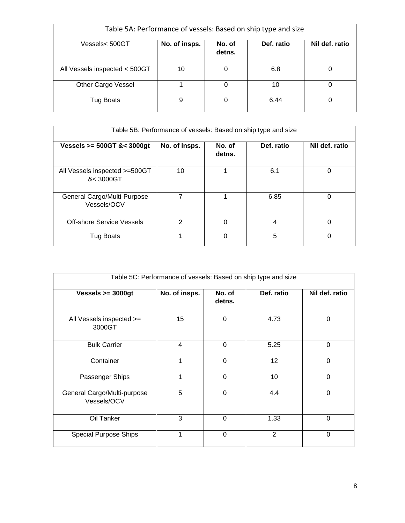| Table 5A: Performance of vessels: Based on ship type and size |               |                  |            |                |  |  |  |  |
|---------------------------------------------------------------|---------------|------------------|------------|----------------|--|--|--|--|
| Vessels< 500GT                                                | No. of insps. | No. of<br>detns. | Def. ratio | Nil def. ratio |  |  |  |  |
| All Vessels inspected < 500GT                                 | 10            |                  | 6.8        |                |  |  |  |  |
| Other Cargo Vessel                                            |               | 0                | 10         | 0              |  |  |  |  |
| <b>Tug Boats</b>                                              | 9             | 0                | 6.44       |                |  |  |  |  |

| Table 5B: Performance of vessels: Based on ship type and size |               |                  |            |                |  |  |  |  |
|---------------------------------------------------------------|---------------|------------------|------------|----------------|--|--|--|--|
| Vessels $>= 500$ GT &< $3000$ gt                              | No. of insps. | No. of<br>detns. | Def. ratio | Nil def. ratio |  |  |  |  |
| All Vessels inspected >=500GT<br>&< 3000GT                    | 10            | ◢                | 6.1        | 0              |  |  |  |  |
| General Cargo/Multi-Purpose<br>Vessels/OCV                    |               | 4                | 6.85       | 0              |  |  |  |  |
| <b>Off-shore Service Vessels</b>                              | 2             | 0                | 4          | 0              |  |  |  |  |
| <b>Tug Boats</b>                                              |               | 0                | 5          | 0              |  |  |  |  |

| Table 5C: Performance of vessels: Based on ship type and size |               |                  |              |                |  |  |  |
|---------------------------------------------------------------|---------------|------------------|--------------|----------------|--|--|--|
| Vessels $>=$ 3000gt                                           | No. of insps. | No. of<br>detns. | Def. ratio   | Nil def. ratio |  |  |  |
| All Vessels inspected >=<br>3000GT                            | 15            | 0                | 4.73         | 0              |  |  |  |
| <b>Bulk Carrier</b>                                           | 4             | $\Omega$         | 5.25         | 0              |  |  |  |
| Container                                                     | 1             | 0                | 12           | 0              |  |  |  |
| Passenger Ships                                               | 1             | $\overline{0}$   | 10           | $\Omega$       |  |  |  |
| General Cargo/Multi-purpose<br>Vessels/OCV                    | 5             | $\mathbf 0$      | 4.4          | 0              |  |  |  |
| Oil Tanker                                                    | 3             | $\overline{0}$   | 1.33         | 0              |  |  |  |
| <b>Special Purpose Ships</b>                                  | 1             | $\Omega$         | $\mathbf{2}$ | $\Omega$       |  |  |  |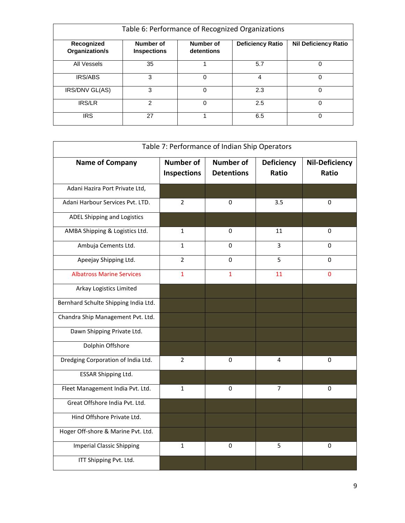| Table 6: Performance of Recognized Organizations |                                 |                         |                         |                             |  |
|--------------------------------------------------|---------------------------------|-------------------------|-------------------------|-----------------------------|--|
| Recognized<br>Organization/s                     | Number of<br><b>Inspections</b> | Number of<br>detentions | <b>Deficiency Ratio</b> | <b>Nil Deficiency Ratio</b> |  |
| All Vessels                                      | 35                              |                         | 5.7                     | 0                           |  |
| <b>IRS/ABS</b>                                   | 3                               | 0                       | 4                       | 0                           |  |
| IRS/DNV GL(AS)                                   | 3                               | 0                       | 2.3                     | 0                           |  |
| <b>IRS/LR</b>                                    | 2                               | $\Omega$                | 2.5                     | 0                           |  |
| <b>IRS</b>                                       | 27                              |                         | 6.5                     | 0                           |  |

| Table 7: Performance of Indian Ship Operators |                                        |                                       |                            |                                |
|-----------------------------------------------|----------------------------------------|---------------------------------------|----------------------------|--------------------------------|
| <b>Name of Company</b>                        | <b>Number of</b><br><b>Inspections</b> | <b>Number of</b><br><b>Detentions</b> | <b>Deficiency</b><br>Ratio | <b>Nil-Deficiency</b><br>Ratio |
| Adani Hazira Port Private Ltd,                |                                        |                                       |                            |                                |
| Adani Harbour Services Pvt. LTD.              | $\overline{2}$                         | 0                                     | 3.5                        | 0                              |
| ADEL Shipping and Logistics                   |                                        |                                       |                            |                                |
| AMBA Shipping & Logistics Ltd.                | $\mathbf{1}$                           | $\pmb{0}$                             | 11                         | 0                              |
| Ambuja Cements Ltd.                           | $\mathbf{1}$                           | 0                                     | 3                          | 0                              |
| Apeejay Shipping Ltd.                         | $\overline{2}$                         | 0                                     | 5                          | 0                              |
| <b>Albatross Marine Services</b>              | $\mathbf{1}$                           | 1                                     | 11                         | $\mathbf 0$                    |
| Arkay Logistics Limited                       |                                        |                                       |                            |                                |
| Bernhard Schulte Shipping India Ltd.          |                                        |                                       |                            |                                |
| Chandra Ship Management Pvt. Ltd.             |                                        |                                       |                            |                                |
| Dawn Shipping Private Ltd.                    |                                        |                                       |                            |                                |
| Dolphin Offshore                              |                                        |                                       |                            |                                |
| Dredging Corporation of India Ltd.            | $\overline{2}$                         | 0                                     | 4                          | 0                              |
| <b>ESSAR Shipping Ltd.</b>                    |                                        |                                       |                            |                                |
| Fleet Management India Pvt. Ltd.              | $\mathbf{1}$                           | 0                                     | 7                          | 0                              |
| Great Offshore India Pvt. Ltd.                |                                        |                                       |                            |                                |
| Hind Offshore Private Ltd.                    |                                        |                                       |                            |                                |
| Hoger Off-shore & Marine Pvt. Ltd.            |                                        |                                       |                            |                                |
| <b>Imperial Classic Shipping</b>              | $\mathbf{1}$                           | 0                                     | 5                          | 0                              |
| ITT Shipping Pvt. Ltd.                        |                                        |                                       |                            |                                |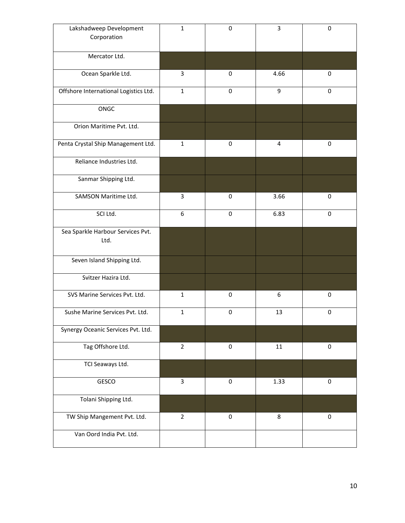| Lakshadweep Development<br>Corporation | $\mathbf{1}$   | 0           | 3      | 0           |
|----------------------------------------|----------------|-------------|--------|-------------|
|                                        |                |             |        |             |
| Mercator Ltd.                          |                |             |        |             |
| Ocean Sparkle Ltd.                     | 3              | $\mathbf 0$ | 4.66   | 0           |
| Offshore International Logistics Ltd.  | $\mathbf{1}$   | $\mathbf 0$ | 9      | 0           |
| ONGC                                   |                |             |        |             |
| Orion Maritime Pvt. Ltd.               |                |             |        |             |
| Penta Crystal Ship Management Ltd.     | $\mathbf 1$    | 0           | 4      | 0           |
| Reliance Industries Ltd.               |                |             |        |             |
| Sanmar Shipping Ltd.                   |                |             |        |             |
| SAMSON Maritime Ltd.                   | 3              | $\mathbf 0$ | 3.66   | $\pmb{0}$   |
| SCI Ltd.                               | 6              | 0           | 6.83   | $\mathbf 0$ |
| Sea Sparkle Harbour Services Pvt.      |                |             |        |             |
| Ltd.                                   |                |             |        |             |
| Seven Island Shipping Ltd.             |                |             |        |             |
| Svitzer Hazira Ltd.                    |                |             |        |             |
| SVS Marine Services Pvt. Ltd.          | $\mathbf{1}$   | $\mathbf 0$ | 6      | $\mathbf 0$ |
| Sushe Marine Services Pvt. Ltd.        | $\mathbf{1}$   | 0           | 13     | 0           |
| Synergy Oceanic Services Pvt. Ltd.     |                |             |        |             |
| Tag Offshore Ltd.                      | $\overline{2}$ | $\pmb{0}$   | $11\,$ | $\pmb{0}$   |
| TCI Seaways Ltd.                       |                |             |        |             |
| GESCO                                  | $\overline{3}$ | $\pmb{0}$   | 1.33   | $\pmb{0}$   |
| Tolani Shipping Ltd.                   |                |             |        |             |
| TW Ship Mangement Pvt. Ltd.            | $\overline{2}$ | $\pmb{0}$   | 8      | $\pmb{0}$   |
| Van Oord India Pvt. Ltd.               |                |             |        |             |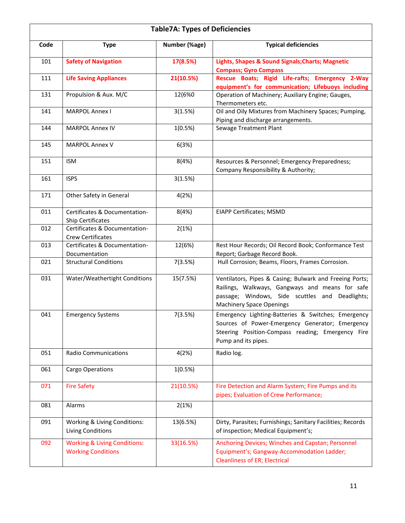|      | <b>Table7A: Types of Deficiencies</b>                                |               |                                                                                                                                                                                                  |  |  |
|------|----------------------------------------------------------------------|---------------|--------------------------------------------------------------------------------------------------------------------------------------------------------------------------------------------------|--|--|
| Code | <b>Type</b>                                                          | Number (%age) | <b>Typical deficiencies</b>                                                                                                                                                                      |  |  |
| 101  | <b>Safety of Navigation</b>                                          | 17(8.5%)      | Lights, Shapes & Sound Signals; Charts; Magnetic<br><b>Compass; Gyro Compass</b>                                                                                                                 |  |  |
| 111  | <b>Life Saving Appliances</b>                                        | 21(10.5%)     | Rescue Boats; Rigid Life-rafts; Emergency 2-Way<br>equipment's for communication; Lifebuoys including                                                                                            |  |  |
| 131  | Propulsion & Aux. M/C                                                | 12(6%0        | Operation of Machinery; Auxiliary Engine; Gauges,<br>Thermometers etc.                                                                                                                           |  |  |
| 141  | <b>MARPOL Annex I</b>                                                | 3(1.5%)       | Oil and Oily Mixtures from Machinery Spaces; Pumping,<br>Piping and discharge arrangements.                                                                                                      |  |  |
| 144  | <b>MARPOL Annex IV</b>                                               | 1(0.5%)       | Sewage Treatment Plant                                                                                                                                                                           |  |  |
| 145  | <b>MARPOL Annex V</b>                                                | 6(3%)         |                                                                                                                                                                                                  |  |  |
| 151  | <b>ISM</b>                                                           | 8(4%)         | Resources & Personnel; Emergency Preparedness;<br>Company Responsibility & Authority;                                                                                                            |  |  |
| 161  | <b>ISPS</b>                                                          | 3(1.5%)       |                                                                                                                                                                                                  |  |  |
| 171  | Other Safety in General                                              | 4(2%)         |                                                                                                                                                                                                  |  |  |
| 011  | Certificates & Documentation-<br>Ship Certificates                   | 8(4%)         | <b>EIAPP Certificates; MSMD</b>                                                                                                                                                                  |  |  |
| 012  | Certificates & Documentation-<br>Crew Certificates                   | 2(1%)         |                                                                                                                                                                                                  |  |  |
| 013  | Certificates & Documentation-<br>Documentation                       | 12(6%)        | Rest Hour Records; Oil Record Book; Conformance Test<br>Report; Garbage Record Book.                                                                                                             |  |  |
| 021  | <b>Structural Conditions</b>                                         | 7(3.5%)       | Hull Corrosion; Beams, Floors, Frames Corrosion.                                                                                                                                                 |  |  |
| 031  | Water/Weathertight Conditions                                        | 15(7.5%)      | Ventilators, Pipes & Casing; Bulwark and Freeing Ports;<br>Railings, Walkways, Gangways and means for safe<br>passage; Windows, Side scuttles and Deadlights;<br><b>Machinery Space Openings</b> |  |  |
| 041  | <b>Emergency Systems</b>                                             | 7(3.5%)       | Emergency Lighting-Batteries & Switches; Emergency<br>Sources of Power-Emergency Generator; Emergency<br>Steering Position-Compass reading; Emergency Fire<br>Pump and its pipes.                |  |  |
| 051  | <b>Radio Communications</b>                                          | 4(2%)         | Radio log.                                                                                                                                                                                       |  |  |
| 061  | Cargo Operations                                                     | 1(0.5%)       |                                                                                                                                                                                                  |  |  |
| 071  | <b>Fire Safety</b>                                                   | 21(10.5%)     | Fire Detection and Alarm System; Fire Pumps and its<br>pipes; Evaluation of Crew Performance;                                                                                                    |  |  |
| 081  | Alarms                                                               | 2(1%)         |                                                                                                                                                                                                  |  |  |
| 091  | Working & Living Conditions:<br>Living Conditions                    | 13(6.5%)      | Dirty, Parasites; Furnishings; Sanitary Facilities; Records<br>of inspection; Medical Equipment's;                                                                                               |  |  |
| 092  | <b>Working &amp; Living Conditions:</b><br><b>Working Conditions</b> | 33(16.5%)     | Anchoring Devices; Winches and Capstan; Personnel<br>Equipment's; Gangway-Accommodation Ladder;<br><b>Cleanliness of ER; Electrical</b>                                                          |  |  |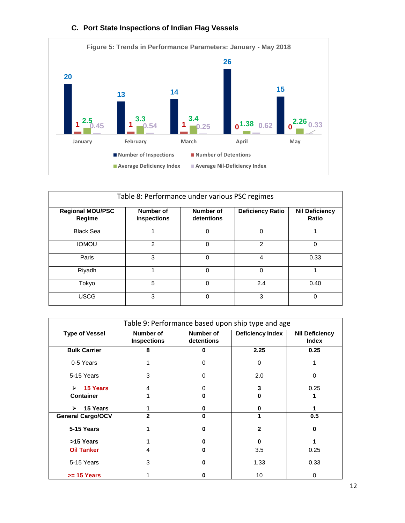

# **C. Port State Inspections of Indian Flag Vessels**

| Table 8: Performance under various PSC regimes |                                 |                         |                         |                                |
|------------------------------------------------|---------------------------------|-------------------------|-------------------------|--------------------------------|
| <b>Regional MOU/PSC</b><br>Regime              | Number of<br><b>Inspections</b> | Number of<br>detentions | <b>Deficiency Ratio</b> | <b>Nil Deficiency</b><br>Ratio |
| <b>Black Sea</b>                               |                                 | 0                       | 0                       | 4                              |
| <b>IOMOU</b>                                   | 2                               | 0                       | 2                       | $\Omega$                       |
| Paris                                          | 3                               | 0                       | 4                       | 0.33                           |
| Riyadh                                         |                                 | 0                       | 0                       |                                |
| Tokyo                                          | 5                               | 0                       | 2.4                     | 0.40                           |
| USCG                                           | 3                               | 0                       | 3                       | $\Omega$                       |

| Table 9: Performance based upon ship type and age |                                        |                                |                         |                                       |  |
|---------------------------------------------------|----------------------------------------|--------------------------------|-------------------------|---------------------------------------|--|
| <b>Type of Vessel</b>                             | <b>Number of</b><br><b>Inspections</b> | <b>Number of</b><br>detentions | <b>Deficiency Index</b> | <b>Nil Deficiency</b><br><b>Index</b> |  |
| <b>Bulk Carrier</b>                               | 8                                      | $\bf{0}$                       | 2.25                    | 0.25                                  |  |
| 0-5 Years                                         |                                        | 0                              | $\Omega$                |                                       |  |
| 5-15 Years                                        | 3                                      | O                              | 2.0                     | 0                                     |  |
| <b>15 Years</b><br>$\triangleright$               | 4                                      | 0                              | 3                       | 0.25                                  |  |
| <b>Container</b>                                  | 1                                      | $\bf{0}$                       | O                       | 1                                     |  |
| 15 Years<br>$\blacktriangleright$                 |                                        | 0                              | 0                       |                                       |  |
| <b>General Cargo/OCV</b>                          | 2                                      | $\bf{0}$                       | 1                       | 0.5                                   |  |
| 5-15 Years                                        |                                        | 0                              | $\mathbf{2}$            | 0                                     |  |
| >15 Years                                         |                                        | 0                              | 0                       |                                       |  |
| <b>Oil Tanker</b>                                 | 4                                      | $\bf{0}$                       | 3.5                     | 0.25                                  |  |
| 5-15 Years                                        | 3                                      | Λ                              | 1.33                    | 0.33                                  |  |
| $>= 15$ Years                                     |                                        |                                | 10                      | 0                                     |  |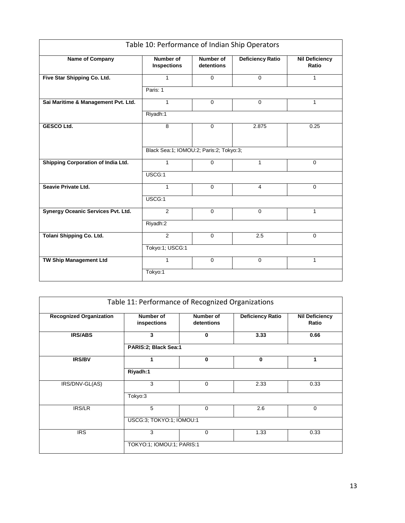| Table 10: Performance of Indian Ship Operators |                                         |                         |                         |                                |  |  |
|------------------------------------------------|-----------------------------------------|-------------------------|-------------------------|--------------------------------|--|--|
| <b>Name of Company</b>                         | <b>Number of</b><br><b>Inspections</b>  | Number of<br>detentions | <b>Deficiency Ratio</b> | <b>Nil Deficiency</b><br>Ratio |  |  |
| Five Star Shipping Co. Ltd.                    | $\mathbf{1}$                            | $\mathbf 0$             | $\mathbf 0$             | 1                              |  |  |
|                                                | Paris: 1                                |                         |                         |                                |  |  |
| Sai Maritime & Management Pvt. Ltd.            | $\mathbf{1}$                            | $\Omega$                | $\Omega$                | 1                              |  |  |
|                                                | Riyadh:1                                |                         |                         |                                |  |  |
| <b>GESCO Ltd.</b>                              | 8                                       | $\Omega$                | 2.875                   | 0.25                           |  |  |
|                                                |                                         |                         |                         |                                |  |  |
|                                                | Black Sea:1; IOMOU:2; Paris:2; Tokyo:3; |                         |                         |                                |  |  |
| Shipping Corporation of India Ltd.             | 1                                       | $\mathbf 0$             | $\mathbf{1}$            | $\mathbf 0$                    |  |  |
|                                                | USCG:1                                  |                         |                         |                                |  |  |
| Seavie Private Ltd.                            | $\mathbf{1}$                            | $\mathbf 0$             | $\overline{4}$          | $\mathbf 0$                    |  |  |
|                                                | USCG:1                                  |                         |                         |                                |  |  |
| Synergy Oceanic Services Pvt. Ltd.             | 2                                       | $\mathbf 0$             | $\mathbf 0$             | 1                              |  |  |
|                                                | Riyadh:2                                |                         |                         |                                |  |  |
| <b>Tolani Shipping Co. Ltd.</b>                | $\overline{2}$                          | $\Omega$                | 2.5                     | $\Omega$                       |  |  |
|                                                | Tokyo:1; USCG:1                         |                         |                         |                                |  |  |
| <b>TW Ship Management Ltd</b>                  | 1                                       | $\mathbf 0$             | $\mathbf 0$             | 1                              |  |  |
|                                                | Tokyo:1                                 |                         |                         |                                |  |  |

|                                | Table 11: Performance of Recognized Organizations |                         |                  |                                |  |  |
|--------------------------------|---------------------------------------------------|-------------------------|------------------|--------------------------------|--|--|
| <b>Recognized Organization</b> | Number of<br>inspections                          | Number of<br>detentions | Deficiency Ratio | <b>Nil Deficiency</b><br>Ratio |  |  |
| <b>IRS/ABS</b>                 | 3                                                 | 0                       | 3.33             | 0.66                           |  |  |
|                                |                                                   | PARIS:2; Black Sea:1    |                  |                                |  |  |
| <b>IRS/BV</b>                  |                                                   | 0                       | 0                | 1                              |  |  |
|                                | Riyadh:1                                          |                         |                  |                                |  |  |
| IRS/DNV-GL(AS)                 | 3                                                 | $\mathbf 0$             | 2.33             | 0.33                           |  |  |
|                                | Tokyo:3                                           |                         |                  |                                |  |  |
| <b>IRS/LR</b>                  | 5                                                 | $\mathbf 0$             | 2.6              | $\mathbf 0$                    |  |  |
|                                | USCG:3; TOKYO:1; IOMOU:1                          |                         |                  |                                |  |  |
| <b>IRS</b>                     | 3                                                 | $\mathbf 0$             | 1.33             | 0.33                           |  |  |
|                                | TOKYO:1; IOMOU:1; PARIS:1                         |                         |                  |                                |  |  |